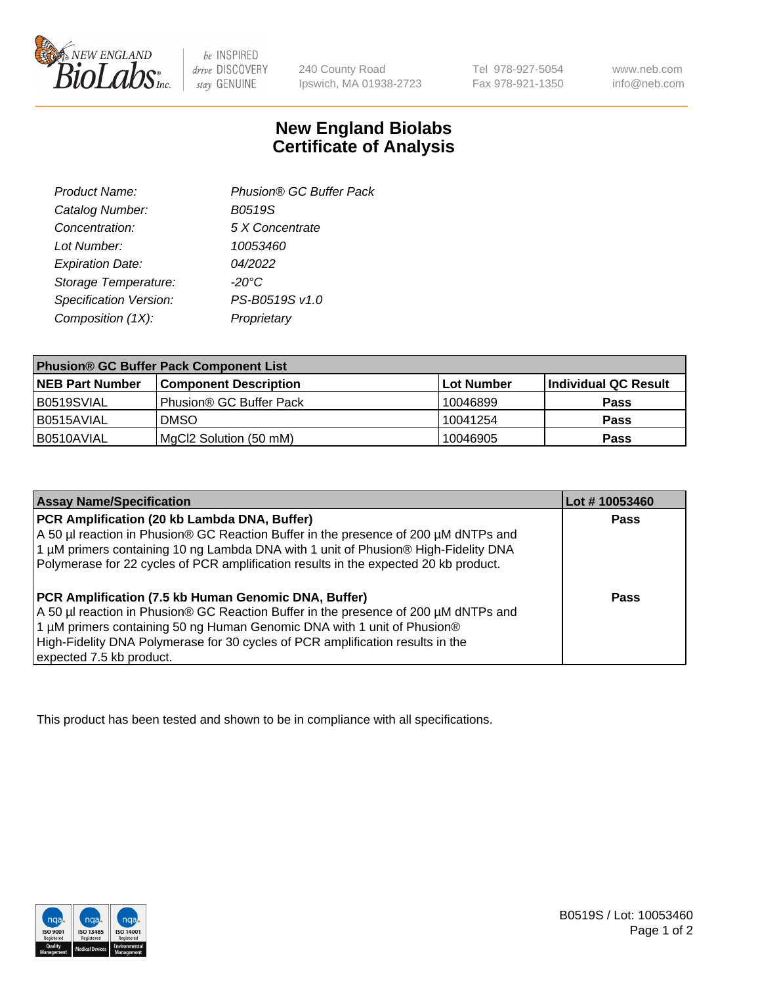

 $be$  INSPIRED drive DISCOVERY stay GENUINE

240 County Road Ipswich, MA 01938-2723

Tel 978-927-5054 Fax 978-921-1350 www.neb.com info@neb.com

## **New England Biolabs Certificate of Analysis**

| Phusion® GC Buffer Pack |
|-------------------------|
| <b>B0519S</b>           |
| 5 X Concentrate         |
| 10053460                |
| 04/2022                 |
| $-20^{\circ}$ C         |
| PS-B0519S v1.0          |
| Proprietary             |
|                         |

| <b>Phusion® GC Buffer Pack Component List</b> |                              |            |                      |  |
|-----------------------------------------------|------------------------------|------------|----------------------|--|
| <b>NEB Part Number</b>                        | <b>Component Description</b> | Lot Number | Individual QC Result |  |
| B0519SVIAL                                    | Phusion® GC Buffer Pack      | 10046899   | <b>Pass</b>          |  |
| B0515AVIAL                                    | <b>DMSO</b>                  | 10041254   | <b>Pass</b>          |  |
| B0510AVIAL                                    | MgCl2 Solution (50 mM)       | 10046905   | <b>Pass</b>          |  |

| <b>Assay Name/Specification</b>                                                                                                                                                                                                                                                                                                             | Lot #10053460 |
|---------------------------------------------------------------------------------------------------------------------------------------------------------------------------------------------------------------------------------------------------------------------------------------------------------------------------------------------|---------------|
| PCR Amplification (20 kb Lambda DNA, Buffer)<br>A 50 µl reaction in Phusion® GC Reaction Buffer in the presence of 200 µM dNTPs and<br>1 μM primers containing 10 ng Lambda DNA with 1 unit of Phusion® High-Fidelity DNA<br>Polymerase for 22 cycles of PCR amplification results in the expected 20 kb product.                           | <b>Pass</b>   |
| <b>PCR Amplification (7.5 kb Human Genomic DNA, Buffer)</b><br>A 50 µl reaction in Phusion® GC Reaction Buffer in the presence of 200 µM dNTPs and<br>1 µM primers containing 50 ng Human Genomic DNA with 1 unit of Phusion®<br>High-Fidelity DNA Polymerase for 30 cycles of PCR amplification results in the<br>expected 7.5 kb product. | <b>Pass</b>   |

This product has been tested and shown to be in compliance with all specifications.